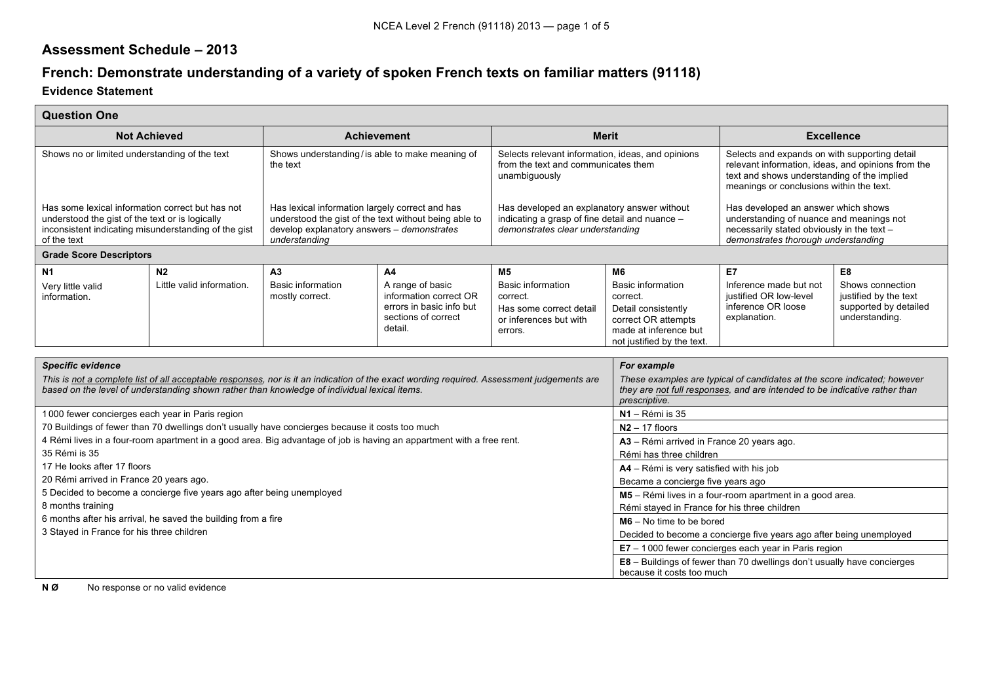## **Assessment Schedule – 2013**

## **French: Demonstrate understanding of a variety of spoken French texts on familiar matters (91118)**

## **Evidence Statement**

Г

| <b>Question One</b>                                                                                                                                                        |                                                                                                                                                                                                                                                    |                                                                                                                                                                         |                                                                                                                                                                                                                                                                   |                                                                                                                                   |                                                                                                                                                 |                                                                                                                                                                                                                                              |                                                                                            |  |
|----------------------------------------------------------------------------------------------------------------------------------------------------------------------------|----------------------------------------------------------------------------------------------------------------------------------------------------------------------------------------------------------------------------------------------------|-------------------------------------------------------------------------------------------------------------------------------------------------------------------------|-------------------------------------------------------------------------------------------------------------------------------------------------------------------------------------------------------------------------------------------------------------------|-----------------------------------------------------------------------------------------------------------------------------------|-------------------------------------------------------------------------------------------------------------------------------------------------|----------------------------------------------------------------------------------------------------------------------------------------------------------------------------------------------------------------------------------------------|--------------------------------------------------------------------------------------------|--|
| <b>Not Achieved</b>                                                                                                                                                        |                                                                                                                                                                                                                                                    | <b>Achievement</b>                                                                                                                                                      |                                                                                                                                                                                                                                                                   | <b>Merit</b>                                                                                                                      |                                                                                                                                                 | <b>Excellence</b>                                                                                                                                                                                                                            |                                                                                            |  |
| Shows no or limited understanding of the text                                                                                                                              |                                                                                                                                                                                                                                                    | Shows understanding/is able to make meaning of<br>the text                                                                                                              |                                                                                                                                                                                                                                                                   | Selects relevant information, ideas, and opinions<br>from the text and communicates them<br>unambiguously                         |                                                                                                                                                 | Selects and expands on with supporting detail<br>relevant information, ideas, and opinions from the<br>text and shows understanding of the implied<br>meanings or conclusions within the text.                                               |                                                                                            |  |
| Has some lexical information correct but has not<br>understood the gist of the text or is logically<br>inconsistent indicating misunderstanding of the gist<br>of the text |                                                                                                                                                                                                                                                    | Has lexical information largely correct and has<br>understood the gist of the text without being able to<br>develop explanatory answers - demonstrates<br>understanding |                                                                                                                                                                                                                                                                   | Has developed an explanatory answer without<br>indicating a grasp of fine detail and nuance -<br>demonstrates clear understanding |                                                                                                                                                 | Has developed an answer which shows<br>understanding of nuance and meanings not<br>necessarily stated obviously in the text -<br>demonstrates thorough understanding                                                                         |                                                                                            |  |
| <b>Grade Score Descriptors</b>                                                                                                                                             |                                                                                                                                                                                                                                                    |                                                                                                                                                                         |                                                                                                                                                                                                                                                                   |                                                                                                                                   |                                                                                                                                                 |                                                                                                                                                                                                                                              |                                                                                            |  |
| N <sub>1</sub><br>Very little valid<br>information.                                                                                                                        | N <sub>2</sub><br>Little valid information.                                                                                                                                                                                                        | A <sub>3</sub><br>Basic information<br>mostly correct.                                                                                                                  | A <sub>4</sub><br>A range of basic<br>information correct OR<br>errors in basic info but<br>sections of correct<br>detail.                                                                                                                                        | <b>M5</b><br><b>Basic information</b><br>correct.<br>Has some correct detail<br>or inferences but with<br>errors.                 | M6<br><b>Basic information</b><br>correct.<br>Detail consistently<br>correct OR attempts<br>made at inference but<br>not justified by the text. | <b>E7</b><br>Inference made but not<br>iustified OR low-level<br>inference OR loose<br>explanation.                                                                                                                                          | E8<br>Shows connection<br>justified by the text<br>supported by detailed<br>understanding. |  |
| <b>Specific evidence</b><br>35 Rémi is 35                                                                                                                                  | based on the level of understanding shown rather than knowledge of individual lexical items.<br>1000 fewer concierges each year in Paris region<br>70 Buildings of fewer than 70 dwellings don't usually have concierges because it costs too much |                                                                                                                                                                         | This is not a complete list of all acceptable responses, nor is it an indication of the exact wording required. Assessment judgements are<br>4 Rémi lives in a four-room apartment in a good area. Big advantage of job is having an appartment with a free rent. |                                                                                                                                   | For example<br>prescriptive.<br>N1 - Rémi is 35<br>$N2 - 17$ floors<br>A3 - Rémi arrived in France 20 years ago.<br>Rémi has three children     | These examples are typical of candidates at the score indicated; however<br>they are not full responses, and are intended to be indicative rather than                                                                                       |                                                                                            |  |
| 17 He looks after 17 floors<br>20 Rémi arrived in France 20 years ago.<br>8 months training<br>3 Stayed in France for his three children                                   | 5 Decided to become a concierge five years ago after being unemployed<br>6 months after his arrival, he saved the building from a fire                                                                                                             |                                                                                                                                                                         | A4 - Rémi is very satisfied with his job<br>Became a concierge five years ago<br>M5 - Rémi lives in a four-room apartment in a good area.<br>Rémi stayed in France for his three children<br>$MG - No$ time to be bored                                           |                                                                                                                                   |                                                                                                                                                 |                                                                                                                                                                                                                                              |                                                                                            |  |
|                                                                                                                                                                            |                                                                                                                                                                                                                                                    |                                                                                                                                                                         |                                                                                                                                                                                                                                                                   |                                                                                                                                   |                                                                                                                                                 | Decided to become a concierge five years ago after being unemployed<br>$E7 - 1000$ fewer concierges each year in Paris region<br><b>E8</b> – Buildings of fewer than 70 dwellings don't usually have concierges<br>because it costs too much |                                                                                            |  |

**N Ø** No response or no valid evidence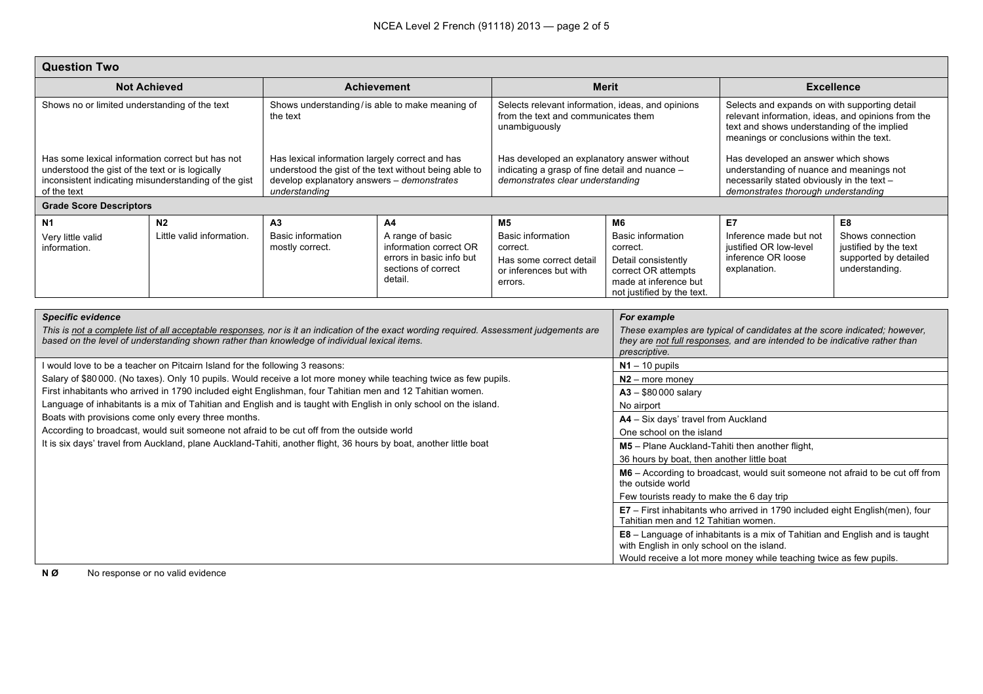| <b>Question Two</b>                                                                                                                                                                                                                                                   |                                                                                                                                                   |                                                                                                                                                                         |                                                                                                                   |                                                                                                                                   |                                                                                                                                                                                         |                                                                                                                                                                                                |                                                                                      |  |
|-----------------------------------------------------------------------------------------------------------------------------------------------------------------------------------------------------------------------------------------------------------------------|---------------------------------------------------------------------------------------------------------------------------------------------------|-------------------------------------------------------------------------------------------------------------------------------------------------------------------------|-------------------------------------------------------------------------------------------------------------------|-----------------------------------------------------------------------------------------------------------------------------------|-----------------------------------------------------------------------------------------------------------------------------------------------------------------------------------------|------------------------------------------------------------------------------------------------------------------------------------------------------------------------------------------------|--------------------------------------------------------------------------------------|--|
| <b>Not Achieved</b>                                                                                                                                                                                                                                                   |                                                                                                                                                   | <b>Achievement</b>                                                                                                                                                      |                                                                                                                   | <b>Merit</b>                                                                                                                      |                                                                                                                                                                                         | <b>Excellence</b>                                                                                                                                                                              |                                                                                      |  |
| Shows no or limited understanding of the text                                                                                                                                                                                                                         |                                                                                                                                                   | Shows understanding/is able to make meaning of<br>the text                                                                                                              |                                                                                                                   | Selects relevant information, ideas, and opinions<br>from the text and communicates them<br>unambiguously                         |                                                                                                                                                                                         | Selects and expands on with supporting detail<br>relevant information, ideas, and opinions from the<br>text and shows understanding of the implied<br>meanings or conclusions within the text. |                                                                                      |  |
| Has some lexical information correct but has not<br>understood the gist of the text or is logically<br>inconsistent indicating misunderstanding of the gist<br>of the text                                                                                            |                                                                                                                                                   | Has lexical information largely correct and has<br>understood the gist of the text without being able to<br>develop explanatory answers - demonstrates<br>understanding |                                                                                                                   | Has developed an explanatory answer without<br>indicating a grasp of fine detail and nuance -<br>demonstrates clear understanding |                                                                                                                                                                                         | Has developed an answer which shows<br>understanding of nuance and meanings not<br>necessarily stated obviously in the text -<br>demonstrates thorough understanding                           |                                                                                      |  |
| <b>Grade Score Descriptors</b>                                                                                                                                                                                                                                        |                                                                                                                                                   |                                                                                                                                                                         |                                                                                                                   |                                                                                                                                   |                                                                                                                                                                                         |                                                                                                                                                                                                |                                                                                      |  |
| <b>N1</b>                                                                                                                                                                                                                                                             | N <sub>2</sub>                                                                                                                                    | A <sub>3</sub>                                                                                                                                                          | A <sub>4</sub>                                                                                                    | M <sub>5</sub>                                                                                                                    | <b>M6</b>                                                                                                                                                                               | E7                                                                                                                                                                                             | E8                                                                                   |  |
| Very little valid<br>information.                                                                                                                                                                                                                                     | Little valid information.                                                                                                                         | Basic information<br>mostly correct.                                                                                                                                    | A range of basic<br>information correct OR<br>errors in basic info but<br>sections of correct<br>detail.          | Basic information<br>correct.<br>Has some correct detail<br>or inferences but with<br>errors.                                     | Basic information<br>correct.<br>Detail consistently<br>correct OR attempts<br>made at inference but<br>not justified by the text.                                                      | Inference made but not<br>justified OR low-level<br>inference OR loose<br>explanation.                                                                                                         | Shows connection<br>justified by the text<br>supported by detailed<br>understanding. |  |
|                                                                                                                                                                                                                                                                       |                                                                                                                                                   |                                                                                                                                                                         |                                                                                                                   |                                                                                                                                   |                                                                                                                                                                                         |                                                                                                                                                                                                |                                                                                      |  |
| <b>Specific evidence</b><br>This is not a complete list of all acceptable responses, nor is it an indication of the exact wording required. Assessment judgements are<br>based on the level of understanding shown rather than knowledge of individual lexical items. |                                                                                                                                                   |                                                                                                                                                                         |                                                                                                                   |                                                                                                                                   | For example<br>These examples are typical of candidates at the score indicated; however,<br>they are not full responses, and are intended to be indicative rather than<br>prescriptive. |                                                                                                                                                                                                |                                                                                      |  |
|                                                                                                                                                                                                                                                                       | I would love to be a teacher on Pitcairn Island for the following 3 reasons:                                                                      |                                                                                                                                                                         |                                                                                                                   |                                                                                                                                   | $N1 - 10$ pupils                                                                                                                                                                        |                                                                                                                                                                                                |                                                                                      |  |
|                                                                                                                                                                                                                                                                       |                                                                                                                                                   |                                                                                                                                                                         | Salary of \$80000. (No taxes). Only 10 pupils. Would receive a lot more money while teaching twice as few pupils. |                                                                                                                                   | $N2$ – more money                                                                                                                                                                       |                                                                                                                                                                                                |                                                                                      |  |
|                                                                                                                                                                                                                                                                       | First inhabitants who arrived in 1790 included eight Englishman, four Tahitian men and 12 Tahitian women.                                         |                                                                                                                                                                         | $A3 - $80000$ salary                                                                                              |                                                                                                                                   |                                                                                                                                                                                         |                                                                                                                                                                                                |                                                                                      |  |
|                                                                                                                                                                                                                                                                       |                                                                                                                                                   |                                                                                                                                                                         | Language of inhabitants is a mix of Tahitian and English and is taught with English in only school on the island. |                                                                                                                                   | No airport                                                                                                                                                                              |                                                                                                                                                                                                |                                                                                      |  |
|                                                                                                                                                                                                                                                                       | Boats with provisions come only every three months.<br>According to broadcast, would suit someone not afraid to be cut off from the outside world |                                                                                                                                                                         |                                                                                                                   |                                                                                                                                   | A4 - Six days' travel from Auckland<br>One school on the island                                                                                                                         |                                                                                                                                                                                                |                                                                                      |  |
|                                                                                                                                                                                                                                                                       | It is six days' travel from Auckland, plane Auckland-Tahiti, another flight, 36 hours by boat, another little boat                                |                                                                                                                                                                         | M5 - Plane Auckland-Tahiti then another flight,                                                                   |                                                                                                                                   |                                                                                                                                                                                         |                                                                                                                                                                                                |                                                                                      |  |
|                                                                                                                                                                                                                                                                       |                                                                                                                                                   |                                                                                                                                                                         | 36 hours by boat, then another little boat                                                                        |                                                                                                                                   |                                                                                                                                                                                         |                                                                                                                                                                                                |                                                                                      |  |
|                                                                                                                                                                                                                                                                       |                                                                                                                                                   |                                                                                                                                                                         |                                                                                                                   |                                                                                                                                   | M6 - According to broadcast, would suit someone not afraid to be cut off from<br>the outside world                                                                                      |                                                                                                                                                                                                |                                                                                      |  |
|                                                                                                                                                                                                                                                                       |                                                                                                                                                   |                                                                                                                                                                         | Few tourists ready to make the 6 day trip                                                                         |                                                                                                                                   |                                                                                                                                                                                         |                                                                                                                                                                                                |                                                                                      |  |
|                                                                                                                                                                                                                                                                       |                                                                                                                                                   |                                                                                                                                                                         |                                                                                                                   |                                                                                                                                   | E7 - First inhabitants who arrived in 1790 included eight English(men), four<br>Tahitian men and 12 Tahitian women.                                                                     |                                                                                                                                                                                                |                                                                                      |  |
|                                                                                                                                                                                                                                                                       |                                                                                                                                                   |                                                                                                                                                                         |                                                                                                                   |                                                                                                                                   |                                                                                                                                                                                         | E8 - Language of inhabitants is a mix of Tahitian and English and is taught<br>with English in only school on the island.                                                                      |                                                                                      |  |
|                                                                                                                                                                                                                                                                       |                                                                                                                                                   |                                                                                                                                                                         |                                                                                                                   |                                                                                                                                   | Would receive a lot more money while teaching twice as few pupils.                                                                                                                      |                                                                                                                                                                                                |                                                                                      |  |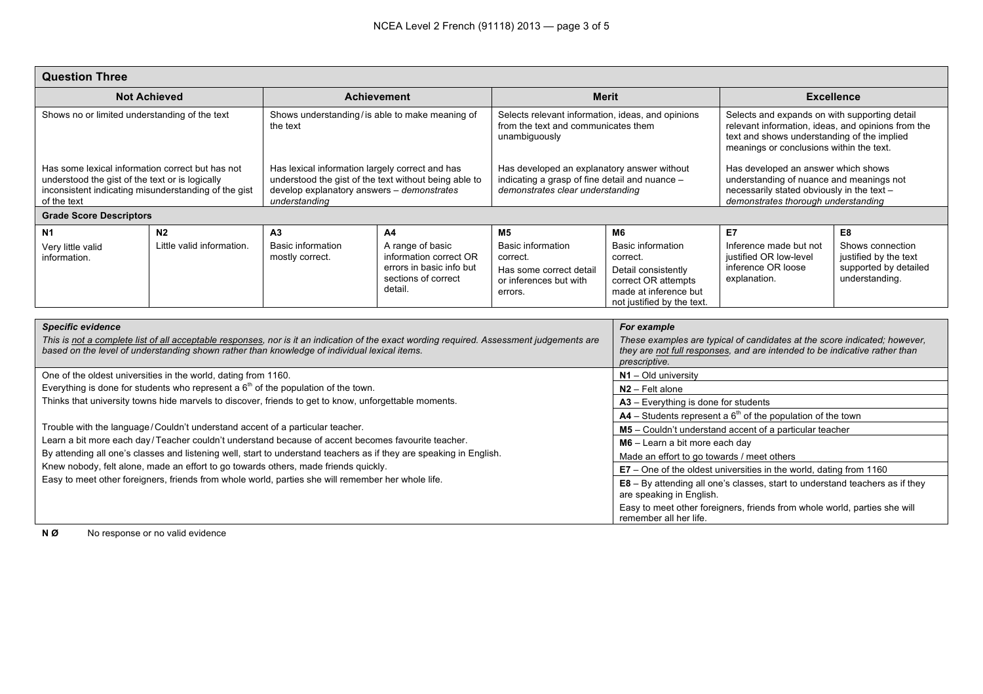| <b>Question Three</b>                                                                                                                                                                                                                                                 |                                                                                                                                                                                     |                                                                                                                                                                         |                                                                                                                  |                                                                                                                                   |                                                                                                                                                                                         |                                                                                                                                                                                                |                                                                                      |
|-----------------------------------------------------------------------------------------------------------------------------------------------------------------------------------------------------------------------------------------------------------------------|-------------------------------------------------------------------------------------------------------------------------------------------------------------------------------------|-------------------------------------------------------------------------------------------------------------------------------------------------------------------------|------------------------------------------------------------------------------------------------------------------|-----------------------------------------------------------------------------------------------------------------------------------|-----------------------------------------------------------------------------------------------------------------------------------------------------------------------------------------|------------------------------------------------------------------------------------------------------------------------------------------------------------------------------------------------|--------------------------------------------------------------------------------------|
| <b>Not Achieved</b>                                                                                                                                                                                                                                                   |                                                                                                                                                                                     | <b>Achievement</b>                                                                                                                                                      |                                                                                                                  | <b>Merit</b>                                                                                                                      |                                                                                                                                                                                         | <b>Excellence</b>                                                                                                                                                                              |                                                                                      |
| Shows no or limited understanding of the text                                                                                                                                                                                                                         |                                                                                                                                                                                     | Shows understanding/is able to make meaning of<br>the text                                                                                                              |                                                                                                                  | Selects relevant information, ideas, and opinions<br>from the text and communicates them<br>unambiguously                         |                                                                                                                                                                                         | Selects and expands on with supporting detail<br>relevant information, ideas, and opinions from the<br>text and shows understanding of the implied<br>meanings or conclusions within the text. |                                                                                      |
| Has some lexical information correct but has not<br>understood the gist of the text or is logically<br>inconsistent indicating misunderstanding of the gist<br>of the text                                                                                            |                                                                                                                                                                                     | Has lexical information largely correct and has<br>understood the gist of the text without being able to<br>develop explanatory answers - demonstrates<br>understanding |                                                                                                                  | Has developed an explanatory answer without<br>indicating a grasp of fine detail and nuance -<br>demonstrates clear understanding |                                                                                                                                                                                         | Has developed an answer which shows<br>understanding of nuance and meanings not<br>necessarily stated obviously in the text -<br>demonstrates thorough understanding                           |                                                                                      |
| <b>Grade Score Descriptors</b>                                                                                                                                                                                                                                        |                                                                                                                                                                                     |                                                                                                                                                                         |                                                                                                                  |                                                                                                                                   |                                                                                                                                                                                         |                                                                                                                                                                                                |                                                                                      |
| N <sub>1</sub>                                                                                                                                                                                                                                                        | N <sub>2</sub>                                                                                                                                                                      | A <sub>3</sub>                                                                                                                                                          | A4                                                                                                               | <b>M5</b>                                                                                                                         | M <sub>6</sub>                                                                                                                                                                          | E7                                                                                                                                                                                             | E8                                                                                   |
| Very little valid<br>information.                                                                                                                                                                                                                                     | Little valid information.                                                                                                                                                           | <b>Basic information</b><br>mostly correct.                                                                                                                             | A range of basic<br>information correct OR<br>errors in basic info but<br>sections of correct<br>detail.         | <b>Basic information</b><br>correct.<br>Has some correct detail<br>or inferences but with<br>errors.                              | <b>Basic information</b><br>correct.<br>Detail consistently<br>correct OR attempts<br>made at inference but<br>not justified by the text.                                               | Inference made but not<br>justified OR low-level<br>inference OR loose<br>explanation.                                                                                                         | Shows connection<br>justified by the text<br>supported by detailed<br>understanding. |
|                                                                                                                                                                                                                                                                       |                                                                                                                                                                                     |                                                                                                                                                                         |                                                                                                                  |                                                                                                                                   |                                                                                                                                                                                         |                                                                                                                                                                                                |                                                                                      |
| <b>Specific evidence</b><br>This is not a complete list of all acceptable responses, nor is it an indication of the exact wording required. Assessment judgements are<br>based on the level of understanding shown rather than knowledge of individual lexical items. |                                                                                                                                                                                     |                                                                                                                                                                         |                                                                                                                  |                                                                                                                                   | For example<br>These examples are typical of candidates at the score indicated; however,<br>they are not full responses, and are intended to be indicative rather than<br>prescriptive. |                                                                                                                                                                                                |                                                                                      |
| One of the oldest universities in the world, dating from 1160.                                                                                                                                                                                                        |                                                                                                                                                                                     |                                                                                                                                                                         |                                                                                                                  |                                                                                                                                   | $N1 - Old$ university                                                                                                                                                                   |                                                                                                                                                                                                |                                                                                      |
|                                                                                                                                                                                                                                                                       | Everything is done for students who represent a $6th$ of the population of the town.                                                                                                |                                                                                                                                                                         | N <sub>2</sub> – Felt alone                                                                                      |                                                                                                                                   |                                                                                                                                                                                         |                                                                                                                                                                                                |                                                                                      |
|                                                                                                                                                                                                                                                                       | Thinks that university towns hide marvels to discover, friends to get to know, unforgettable moments.                                                                               |                                                                                                                                                                         | $A3$ – Everything is done for students                                                                           |                                                                                                                                   |                                                                                                                                                                                         |                                                                                                                                                                                                |                                                                                      |
|                                                                                                                                                                                                                                                                       |                                                                                                                                                                                     |                                                                                                                                                                         | $AA$ – Students represent a $6th$ of the population of the town                                                  |                                                                                                                                   |                                                                                                                                                                                         |                                                                                                                                                                                                |                                                                                      |
|                                                                                                                                                                                                                                                                       | Trouble with the language/Couldn't understand accent of a particular teacher.<br>Learn a bit more each day/Teacher couldn't understand because of accent becomes favourite teacher. |                                                                                                                                                                         | M5 - Couldn't understand accent of a particular teacher                                                          |                                                                                                                                   |                                                                                                                                                                                         |                                                                                                                                                                                                |                                                                                      |
|                                                                                                                                                                                                                                                                       | By attending all one's classes and listening well, start to understand teachers as if they are speaking in English.                                                                 |                                                                                                                                                                         | M6 - Learn a bit more each day                                                                                   |                                                                                                                                   |                                                                                                                                                                                         |                                                                                                                                                                                                |                                                                                      |
|                                                                                                                                                                                                                                                                       |                                                                                                                                                                                     |                                                                                                                                                                         | Made an effort to go towards / meet others<br>E7 - One of the oldest universities in the world, dating from 1160 |                                                                                                                                   |                                                                                                                                                                                         |                                                                                                                                                                                                |                                                                                      |
| Knew nobody, felt alone, made an effort to go towards others, made friends quickly.<br>Easy to meet other foreigners, friends from whole world, parties she will remember her whole life.                                                                             |                                                                                                                                                                                     |                                                                                                                                                                         |                                                                                                                  |                                                                                                                                   | E8 - By attending all one's classes, start to understand teachers as if they<br>are speaking in English.                                                                                |                                                                                                                                                                                                |                                                                                      |
|                                                                                                                                                                                                                                                                       |                                                                                                                                                                                     |                                                                                                                                                                         |                                                                                                                  |                                                                                                                                   | Easy to meet other foreigners, friends from whole world, parties she will<br>remember all her life.                                                                                     |                                                                                                                                                                                                |                                                                                      |

**N Ø** No response or no valid evidence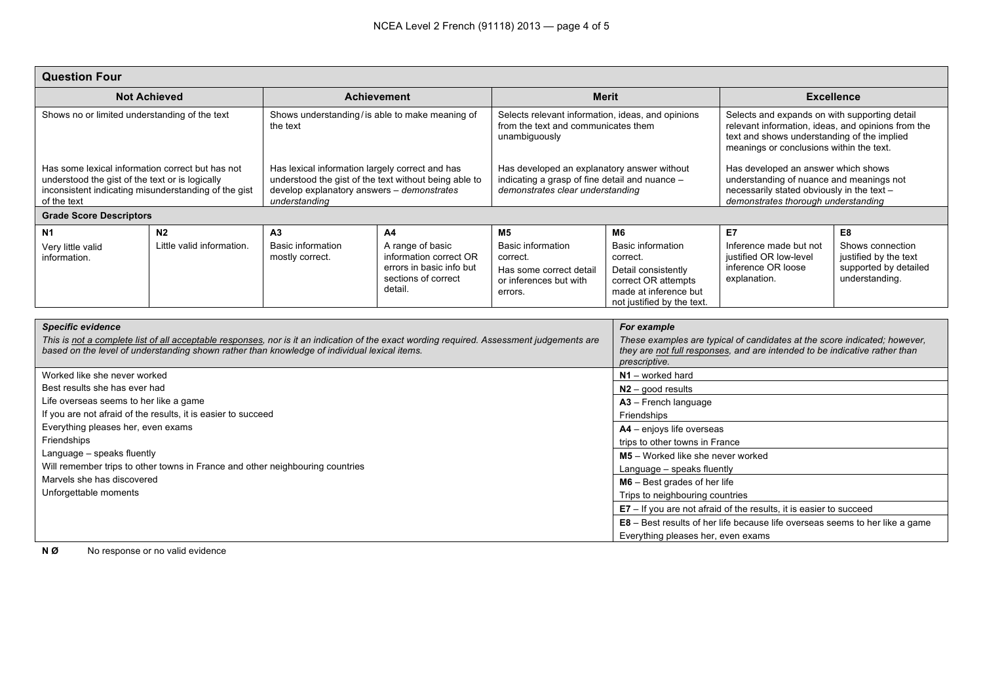| <b>Question Four</b>                                                                                                                                                                                                                                                  |                                                               |                                                                                                                                                                         |                                                                                                          |                                                                                                                                   |                                                                                                                                                                                         |                                                                                                                                                                                                |                                                                                      |  |
|-----------------------------------------------------------------------------------------------------------------------------------------------------------------------------------------------------------------------------------------------------------------------|---------------------------------------------------------------|-------------------------------------------------------------------------------------------------------------------------------------------------------------------------|----------------------------------------------------------------------------------------------------------|-----------------------------------------------------------------------------------------------------------------------------------|-----------------------------------------------------------------------------------------------------------------------------------------------------------------------------------------|------------------------------------------------------------------------------------------------------------------------------------------------------------------------------------------------|--------------------------------------------------------------------------------------|--|
| <b>Not Achieved</b>                                                                                                                                                                                                                                                   |                                                               | <b>Achievement</b>                                                                                                                                                      |                                                                                                          | <b>Merit</b>                                                                                                                      |                                                                                                                                                                                         | <b>Excellence</b>                                                                                                                                                                              |                                                                                      |  |
| Shows no or limited understanding of the text                                                                                                                                                                                                                         |                                                               | Shows understanding/is able to make meaning of<br>the text                                                                                                              |                                                                                                          | Selects relevant information, ideas, and opinions<br>from the text and communicates them<br>unambiguously                         |                                                                                                                                                                                         | Selects and expands on with supporting detail<br>relevant information, ideas, and opinions from the<br>text and shows understanding of the implied<br>meanings or conclusions within the text. |                                                                                      |  |
| Has some lexical information correct but has not<br>understood the gist of the text or is logically<br>inconsistent indicating misunderstanding of the gist<br>of the text                                                                                            |                                                               | Has lexical information largely correct and has<br>understood the gist of the text without being able to<br>develop explanatory answers - demonstrates<br>understanding |                                                                                                          | Has developed an explanatory answer without<br>indicating a grasp of fine detail and nuance -<br>demonstrates clear understanding |                                                                                                                                                                                         | Has developed an answer which shows<br>understanding of nuance and meanings not<br>necessarily stated obviously in the text -<br>demonstrates thorough understanding                           |                                                                                      |  |
| <b>Grade Score Descriptors</b>                                                                                                                                                                                                                                        |                                                               |                                                                                                                                                                         |                                                                                                          |                                                                                                                                   |                                                                                                                                                                                         |                                                                                                                                                                                                |                                                                                      |  |
| <b>N1</b>                                                                                                                                                                                                                                                             | N <sub>2</sub>                                                | A3                                                                                                                                                                      | A4                                                                                                       | M <sub>5</sub>                                                                                                                    | M <sub>6</sub>                                                                                                                                                                          | E7                                                                                                                                                                                             | E8                                                                                   |  |
| Very little valid<br>information.                                                                                                                                                                                                                                     | Little valid information.                                     | <b>Basic information</b><br>mostly correct.                                                                                                                             | A range of basic<br>information correct OR<br>errors in basic info but<br>sections of correct<br>detail. | <b>Basic information</b><br>correct.<br>Has some correct detail<br>or inferences but with<br>errors.                              | <b>Basic information</b><br>correct.<br>Detail consistently<br>correct OR attempts<br>made at inference but<br>not justified by the text.                                               | Inference made but not<br>justified OR low-level<br>inference OR loose<br>explanation.                                                                                                         | Shows connection<br>justified by the text<br>supported by detailed<br>understanding. |  |
|                                                                                                                                                                                                                                                                       |                                                               |                                                                                                                                                                         |                                                                                                          |                                                                                                                                   |                                                                                                                                                                                         |                                                                                                                                                                                                |                                                                                      |  |
| <b>Specific evidence</b><br>This is not a complete list of all acceptable responses, nor is it an indication of the exact wording required. Assessment judgements are<br>based on the level of understanding shown rather than knowledge of individual lexical items. |                                                               |                                                                                                                                                                         |                                                                                                          |                                                                                                                                   | For example<br>These examples are typical of candidates at the score indicated; however,<br>they are not full responses, and are intended to be indicative rather than<br>prescriptive. |                                                                                                                                                                                                |                                                                                      |  |
| Worked like she never worked                                                                                                                                                                                                                                          |                                                               |                                                                                                                                                                         |                                                                                                          |                                                                                                                                   | $N1 -$ worked hard                                                                                                                                                                      |                                                                                                                                                                                                |                                                                                      |  |
| Best results she has ever had                                                                                                                                                                                                                                         |                                                               |                                                                                                                                                                         |                                                                                                          |                                                                                                                                   | $N2 - good results$                                                                                                                                                                     |                                                                                                                                                                                                |                                                                                      |  |
| Life overseas seems to her like a game                                                                                                                                                                                                                                |                                                               |                                                                                                                                                                         |                                                                                                          |                                                                                                                                   | A3 - French language                                                                                                                                                                    |                                                                                                                                                                                                |                                                                                      |  |
|                                                                                                                                                                                                                                                                       | If you are not afraid of the results, it is easier to succeed |                                                                                                                                                                         | Friendships                                                                                              |                                                                                                                                   |                                                                                                                                                                                         |                                                                                                                                                                                                |                                                                                      |  |
| Everything pleases her, even exams                                                                                                                                                                                                                                    |                                                               |                                                                                                                                                                         | A4 - enjoys life overseas                                                                                |                                                                                                                                   |                                                                                                                                                                                         |                                                                                                                                                                                                |                                                                                      |  |
| Friendships                                                                                                                                                                                                                                                           |                                                               |                                                                                                                                                                         |                                                                                                          |                                                                                                                                   | trips to other towns in France                                                                                                                                                          |                                                                                                                                                                                                |                                                                                      |  |
| Language - speaks fluently                                                                                                                                                                                                                                            |                                                               |                                                                                                                                                                         | M5 - Worked like she never worked                                                                        |                                                                                                                                   |                                                                                                                                                                                         |                                                                                                                                                                                                |                                                                                      |  |
| Will remember trips to other towns in France and other neighbouring countries<br>Marvels she has discovered                                                                                                                                                           |                                                               |                                                                                                                                                                         |                                                                                                          |                                                                                                                                   | Language - speaks fluently                                                                                                                                                              |                                                                                                                                                                                                |                                                                                      |  |
| Unforgettable moments                                                                                                                                                                                                                                                 |                                                               |                                                                                                                                                                         |                                                                                                          |                                                                                                                                   | $MG - Best$ grades of her life<br>Trips to neighbouring countries                                                                                                                       |                                                                                                                                                                                                |                                                                                      |  |
|                                                                                                                                                                                                                                                                       |                                                               |                                                                                                                                                                         |                                                                                                          | $E7 -$ If you are not afraid of the results, it is easier to succeed                                                              |                                                                                                                                                                                         |                                                                                                                                                                                                |                                                                                      |  |
|                                                                                                                                                                                                                                                                       |                                                               |                                                                                                                                                                         |                                                                                                          |                                                                                                                                   | <b>E8</b> – Best results of her life because life overseas seems to her like a game                                                                                                     |                                                                                                                                                                                                |                                                                                      |  |
|                                                                                                                                                                                                                                                                       |                                                               |                                                                                                                                                                         |                                                                                                          | Everything pleases her, even exams                                                                                                |                                                                                                                                                                                         |                                                                                                                                                                                                |                                                                                      |  |

**N Ø** No response or no valid evidence